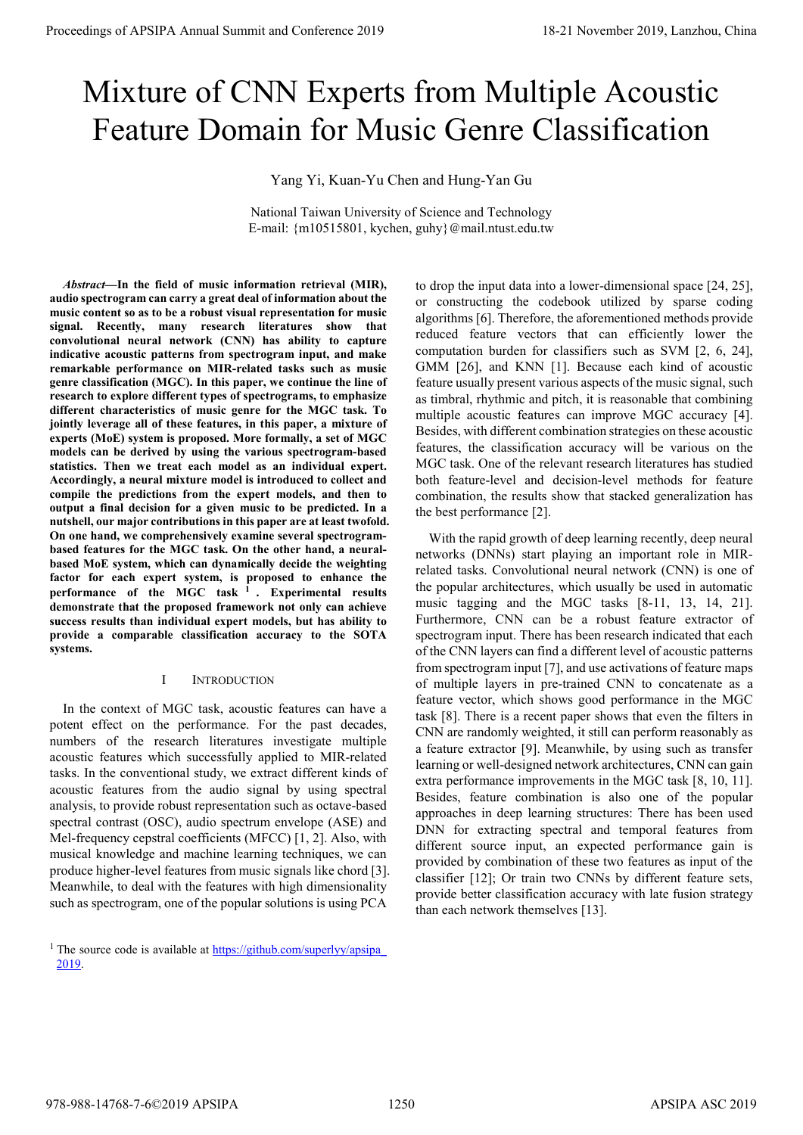# Mixture of CNN Experts from Multiple Acoustic Feature Domain for Music Genre Classification

Yang Yi, Kuan-Yu Chen and Hung-Yan Gu

National Taiwan University of Science and Technology E-mail: {m10515801, kychen, guhy}@mail.ntust.edu.tw

*Abstract***—In the field of music information retrieval (MIR), audio spectrogram can carry a great deal of information about the music content so as to be a robust visual representation for music signal. Recently, many research literatures show that convolutional neural network (CNN) has ability to capture indicative acoustic patterns from spectrogram input, and make remarkable performance on MIR-related tasks such as music genre classification (MGC). In this paper, we continue the line of research to explore different types of spectrograms, to emphasize different characteristics of music genre for the MGC task. To jointly leverage all of these features, in this paper, a mixture of experts (MoE) system is proposed. More formally, a set of MGC models can be derived by using the various spectrogram-based statistics. Then we treat each model as an individual expert. Accordingly, a neural mixture model is introduced to collect and compile the predictions from the expert models, and then to output a final decision for a given music to be predicted. In a nutshell, our major contributions in this paper are at least twofold. On one hand, we comprehensively examine several spectrogrambased features for the MGC task. On the other hand, a neuralbased MoE system, which can dynamically decide the weighting factor for each expert system, is proposed to enhance the performance of the MGC task <sup>1</sup> . Experimental results demonstrate that the proposed framework not only can achieve success results than individual expert models, but has ability to provide a comparable classification accuracy to the SOTA systems.** 

# I INTRODUCTION

In the context of MGC task, acoustic features can have a potent effect on the performance. For the past decades, numbers of the research literatures investigate multiple acoustic features which successfully applied to MIR-related tasks. In the conventional study, we extract different kinds of acoustic features from the audio signal by using spectral analysis, to provide robust representation such as octave-based spectral contrast (OSC), audio spectrum envelope (ASE) and Mel-frequency cepstral coefficients (MFCC) [1, 2]. Also, with musical knowledge and machine learning techniques, we can produce higher-level features from music signals like chord [3]. Meanwhile, to deal with the features with high dimensionality such as spectrogram, one of the popular solutions is using PCA

to drop the input data into a lower-dimensional space [24, 25], or constructing the codebook utilized by sparse coding algorithms [6]. Therefore, the aforementioned methods provide reduced feature vectors that can efficiently lower the computation burden for classifiers such as SVM [2, 6, 24], GMM [26], and KNN [1]. Because each kind of acoustic feature usually present various aspects of the music signal, such as timbral, rhythmic and pitch, it is reasonable that combining multiple acoustic features can improve MGC accuracy [4]. Besides, with different combination strategies on these acoustic features, the classification accuracy will be various on the MGC task. One of the relevant research literatures has studied both feature-level and decision-level methods for feature combination, the results show that stacked generalization has the best performance [2].

With the rapid growth of deep learning recently, deep neural networks (DNNs) start playing an important role in MIRrelated tasks. Convolutional neural network (CNN) is one of the popular architectures, which usually be used in automatic music tagging and the MGC tasks [8-11, 13, 14, 21]. Furthermore, CNN can be a robust feature extractor of spectrogram input. There has been research indicated that each of the CNN layers can find a different level of acoustic patterns from spectrogram input [7], and use activations of feature maps of multiple layers in pre-trained CNN to concatenate as a feature vector, which shows good performance in the MGC task [8]. There is a recent paper shows that even the filters in CNN are randomly weighted, it still can perform reasonably as a feature extractor [9]. Meanwhile, by using such as transfer learning or well-designed network architectures, CNN can gain extra performance improvements in the MGC task [8, 10, 11]. Besides, feature combination is also one of the popular approaches in deep learning structures: There has been used DNN for extracting spectral and temporal features from different source input, an expected performance gain is provided by combination of these two features as input of the classifier [12]; Or train two CNNs by different feature sets, provide better classification accuracy with late fusion strategy than each network themselves [13]. Proceedings of APSIPA Annual Summit at China 978-988-14768-7-609 18-21 November 2019, China 978-988-14768-7-609 18-21 November 2019, China 978-988-14768-7-609 18-21 November 2019, China 978-988-14768-7-609 18-21 November

<span id="page-0-0"></span><sup>&</sup>lt;sup>1</sup> The source code is available at  $\frac{https://github.com/superlyy/apsipa}{https://github.com/superlyy/apsipa}$ 2019.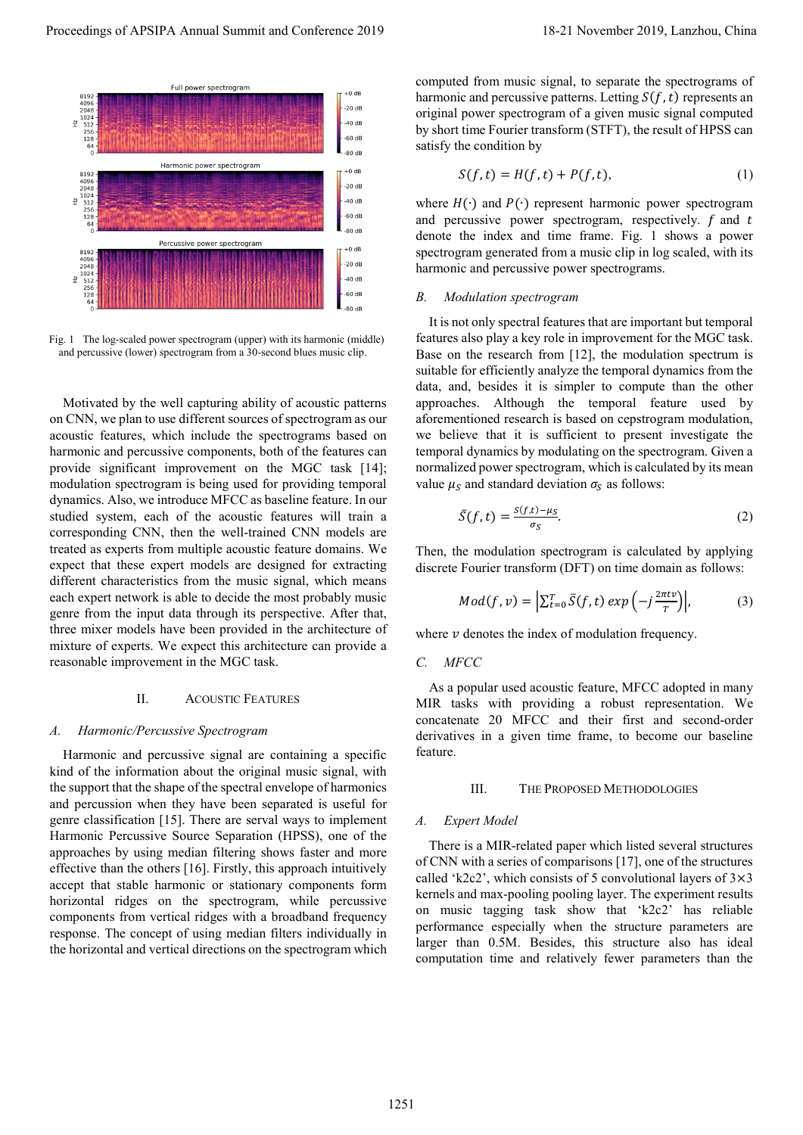

Fig. 1 The log-scaled power spectrogram (upper) with its harmonic (middle) and percussive (lower) spectrogram from a 30-second blues music clip.

Motivated by the well capturing ability of acoustic patterns on CNN, we plan to use different sources of spectrogram as our acoustic features, which include the spectrograms based on harmonic and percussive components, both of the features can provide significant improvement on the MGC task [14]; modulation spectrogram is being used for providing temporal dynamics. Also, we introduce MFCC as baseline feature. In our studied system, each of the acoustic features will train a corresponding CNN, then the well-trained CNN models are treated as experts from multiple acoustic feature domains. We expect that these expert models are designed for extracting different characteristics from the music signal, which means each expert network is able to decide the most probably music genre from the input data through its perspective. After that, three mixer models have been provided in the architecture of mixture of experts. We expect this architecture can provide a reasonable improvement in the MGC task. Proceedings of APSIPA Annual Summit of Conference 2019<br>
Proceedings of APSIPA Annual Summit and Conference 2019, Depression of Conference 2019, Depression of Conference 2019, Depression of Conference 2019, Depression of C

## II. ACOUSTIC FEATURES

#### *A. Harmonic/Percussive Spectrogram*

Harmonic and percussive signal are containing a specific kind of the information about the original music signal, with the support that the shape of the spectral envelope of harmonics and percussion when they have been separated is useful for genre classification [15]. There are serval ways to implement Harmonic Percussive Source Separation (HPSS), one of the approaches by using median filtering shows faster and more effective than the others [16]. Firstly, this approach intuitively accept that stable harmonic or stationary components form horizontal ridges on the spectrogram, while percussive components from vertical ridges with a broadband frequency response. The concept of using median filters individually in the horizontal and vertical directions on the spectrogram which

computed from music signal, to separate the spectrograms of harmonic and percussive patterns. Letting  $S(f, t)$  represents an original power spectrogram of a given music signal computed by short time Fourier transform (STFT), the result of HPSS can satisfy the condition by

$$
S(f,t) = H(f,t) + P(f,t),\tag{1}
$$

where  $H(\cdot)$  and  $P(\cdot)$  represent harmonic power spectrogram and percussive power spectrogram, respectively.  $f$  and  $t$ denote the index and time frame. Fig. 1 shows a power spectrogram generated from a music clip in log scaled, with its harmonic and percussive power spectrograms.

## *B. Modulation spectrogram*

It is not only spectral features that are important but temporal features also play a key role in improvement for the MGC task. Base on the research from [12], the modulation spectrum is suitable for efficiently analyze the temporal dynamics from the data, and, besides it is simpler to compute than the other approaches. Although the temporal feature used by aforementioned research is based on cepstrogram modulation, we believe that it is sufficient to present investigate the temporal dynamics by modulating on the spectrogram. Given a normalized power spectrogram, which is calculated by its mean value  $\mu_s$  and standard deviation  $\sigma_s$  as follows:

$$
\bar{S}(f,t) = \frac{S(f,t) - \mu_S}{\sigma_S}.
$$
 (2)

Then, the modulation spectrogram is calculated by applying discrete Fourier transform (DFT) on time domain as follows:

$$
Mod(f, v) = \left| \sum_{t=0}^{T} \bar{S}(f, t) \exp\left(-j\frac{2\pi tv}{T}\right) \right|,
$$
 (3)

where  $\nu$  denotes the index of modulation frequency.

#### *C. MFCC*

As a popular used acoustic feature, MFCC adopted in many MIR tasks with providing a robust representation. We concatenate 20 MFCC and their first and second-order derivatives in a given time frame, to become our baseline feature.

# III. THE PROPOSED METHODOLOGIES

#### *A. Expert Model*

There is a MIR-related paper which listed several structures of CNN with a series of comparisons [17], one of the structures called 'k2c2', which consists of 5 convolutional layers of  $3\times3$ kernels and max-pooling pooling layer. The experiment results on music tagging task show that 'k2c2' has reliable performance especially when the structure parameters are larger than 0.5M. Besides, this structure also has ideal computation time and relatively fewer parameters than the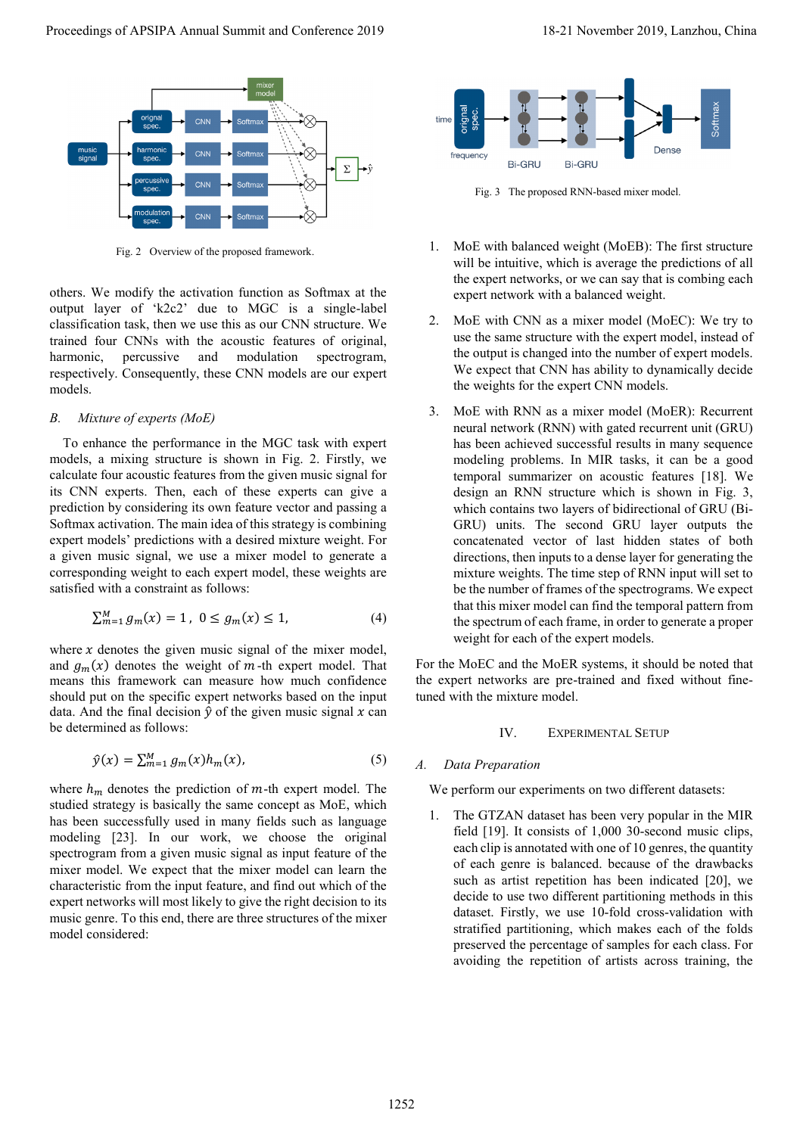

Fig. 2 Overview of the proposed framework.

others. We modify the activation function as Softmax at the output layer of 'k2c2' due to MGC is a single-label classification task, then we use this as our CNN structure. We trained four CNNs with the acoustic features of original, harmonic, percussive and modulation spectrogram, respectively. Consequently, these CNN models are our expert models.

### *B. Mixture of experts (MoE)*

To enhance the performance in the MGC task with expert models, a mixing structure is shown in Fig. 2. Firstly, we calculate four acoustic features from the given music signal for its CNN experts. Then, each of these experts can give a prediction by considering its own feature vector and passing a Softmax activation. The main idea of this strategy is combining expert models' predictions with a desired mixture weight. For a given music signal, we use a mixer model to generate a corresponding weight to each expert model, these weights are satisfied with a constraint as follows:

$$
\sum_{m=1}^{M} g_m(x) = 1, \ 0 \le g_m(x) \le 1,\tag{4}
$$

where  $x$  denotes the given music signal of the mixer model, and  $g_m(x)$  denotes the weight of m-th expert model. That means this framework can measure how much confidence should put on the specific expert networks based on the input data. And the final decision  $\hat{y}$  of the given music signal x can be determined as follows:

$$
\hat{y}(x) = \sum_{m=1}^{M} g_m(x) h_m(x),\tag{5}
$$

where  $h_m$  denotes the prediction of m-th expert model. The studied strategy is basically the same concept as MoE, which has been successfully used in many fields such as language modeling [23]. In our work, we choose the original spectrogram from a given music signal as input feature of the mixer model. We expect that the mixer model can learn the characteristic from the input feature, and find out which of the expert networks will most likely to give the right decision to its music genre. To this end, there are three structures of the mixer model considered:



Fig. 3 The proposed RNN-based mixer model.

- 1. MoE with balanced weight (MoEB): The first structure will be intuitive, which is average the predictions of all the expert networks, or we can say that is combing each expert network with a balanced weight.
- 2. MoE with CNN as a mixer model (MoEC): We try to use the same structure with the expert model, instead of the output is changed into the number of expert models. We expect that CNN has ability to dynamically decide the weights for the expert CNN models.
- 3. MoE with RNN as a mixer model (MoER): Recurrent neural network (RNN) with gated recurrent unit (GRU) has been achieved successful results in many sequence modeling problems. In MIR tasks, it can be a good temporal summarizer on acoustic features [18]. We design an RNN structure which is shown in Fig. 3, which contains two layers of bidirectional of GRU (Bi-GRU) units. The second GRU layer outputs the concatenated vector of last hidden states of both directions, then inputs to a dense layer for generating the mixture weights. The time step of RNN input will set to be the number of frames of the spectrograms. We expect that this mixer model can find the temporal pattern from the spectrum of each frame, in order to generate a proper weight for each of the expert models. **Proceedings of APSIPA Annual Summit and Conference 2019**<br> **Proceedings of APSIPA Annual Summit and Conference 2019**<br> **Proceedings of APSIPA Annual Summit and Conference 2019**<br> **Proceeding and Conference 2019**<br> **Proceedin**

For the MoEC and the MoER systems, it should be noted that the expert networks are pre-trained and fixed without finetuned with the mixture model.

#### IV. EXPERIMENTAL SETUP

# *A. Data Preparation*

We perform our experiments on two different datasets:

1. The GTZAN dataset has been very popular in the MIR field [19]. It consists of 1,000 30-second music clips, each clip is annotated with one of 10 genres, the quantity of each genre is balanced. because of the drawbacks such as artist repetition has been indicated [20], we decide to use two different partitioning methods in this dataset. Firstly, we use 10-fold cross-validation with stratified partitioning, which makes each of the folds preserved the percentage of samples for each class. For avoiding the repetition of artists across training, the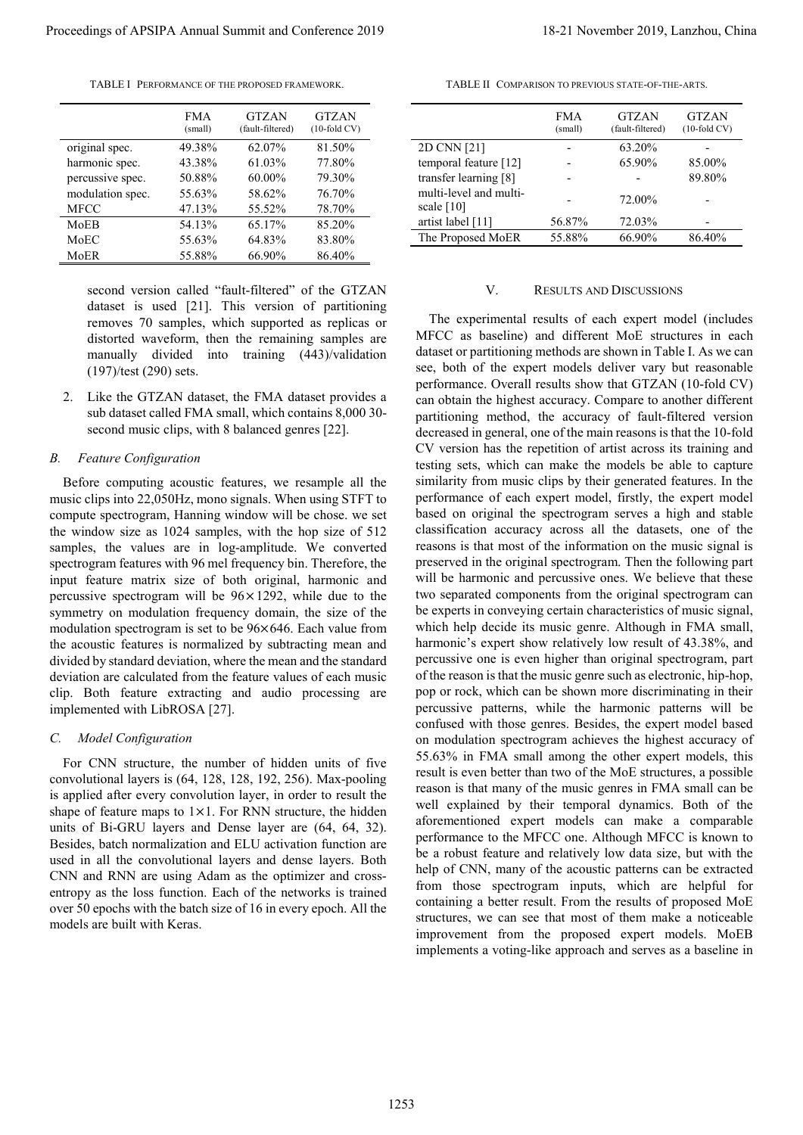TABLE I PERFORMANCE OF THE PROPOSED FRAMEWORK.

|                  | <b>FMA</b><br>(small) | <b>GTZAN</b><br>(fault-filtered) | <b>GTZAN</b><br>$(10$ -fold CV) |
|------------------|-----------------------|----------------------------------|---------------------------------|
| original spec.   | 49.38%                | 62.07%                           | 81.50%                          |
| harmonic spec.   | 43.38%                | 61.03%                           | 77.80%                          |
| percussive spec. | 50.88%                | 60.00%                           | 79.30%                          |
| modulation spec. | 55.63%                | 58.62%                           | 76.70%                          |
| <b>MFCC</b>      | 47.13%                | 55.52%                           | 78.70%                          |
| MoEB             | 54.13%                | 65.17%                           | 85.20%                          |
| MoEC             | 55.63%                | 64.83%                           | 83.80%                          |
| MoER             | 55.88%                | 66.90%                           | 86.40%                          |

second version called "fault-filtered" of the GTZAN dataset is used [21]. This version of partitioning removes 70 samples, which supported as replicas or distorted waveform, then the remaining samples are manually divided into training (443)/validation (197)/test (290) sets.

2. Like the GTZAN dataset, the FMA dataset provides a sub dataset called FMA small, which contains 8,000 30 second music clips, with 8 balanced genres [22].

# *B. Feature Configuration*

Before computing acoustic features, we resample all the music clips into 22,050Hz, mono signals. When using STFT to compute spectrogram, Hanning window will be chose. we set the window size as 1024 samples, with the hop size of 512 samples, the values are in log-amplitude. We converted spectrogram features with 96 mel frequency bin. Therefore, the input feature matrix size of both original, harmonic and percussive spectrogram will be  $96 \times 1292$ , while due to the symmetry on modulation frequency domain, the size of the modulation spectrogram is set to be 96×646. Each value from the acoustic features is normalized by subtracting mean and divided by standard deviation, where the mean and the standard deviation are calculated from the feature values of each music clip. Both feature extracting and audio processing are implemented with LibROSA [27].

# *C. Model Configuration*

For CNN structure, the number of hidden units of five convolutional layers is (64, 128, 128, 192, 256). Max-pooling is applied after every convolution layer, in order to result the shape of feature maps to  $1 \times 1$ . For RNN structure, the hidden units of Bi-GRU layers and Dense layer are (64, 64, 32). Besides, batch normalization and ELU activation function are used in all the convolutional layers and dense layers. Both CNN and RNN are using Adam as the optimizer and crossentropy as the loss function. Each of the networks is trained over 50 epochs with the batch size of 16 in every epoch. All the models are built with Keras.

TABLE II COMPARISON TO PREVIOUS STATE-OF-THE-ARTS.

|                                        | <b>FMA</b><br>(small) | <b>GTZAN</b><br>(fault-filtered) | <b>GTZAN</b><br>$(10$ -fold CV) |
|----------------------------------------|-----------------------|----------------------------------|---------------------------------|
| 2D CNN [21]                            |                       | 63.20%                           |                                 |
| temporal feature [12]                  |                       | 65.90%                           | 85.00%                          |
| transfer learning [8]                  |                       |                                  | 89.80%                          |
| multi-level and multi-<br>scale $[10]$ |                       | 72.00%                           |                                 |
| artist label [11]                      | 56.87%                | 72.03%                           |                                 |
| The Proposed MoER                      | 55.88%                | 66.90%                           | 86.40%                          |
|                                        |                       |                                  |                                 |

# V. RESULTS AND DISCUSSIONS

The experimental results of each expert model (includes MFCC as baseline) and different MoE structures in each dataset or partitioning methods are shown in Table I. As we can see, both of the expert models deliver vary but reasonable performance. Overall results show that GTZAN (10-fold CV) can obtain the highest accuracy. Compare to another different partitioning method, the accuracy of fault-filtered version decreased in general, one of the main reasons is that the 10-fold CV version has the repetition of artist across its training and testing sets, which can make the models be able to capture similarity from music clips by their generated features. In the performance of each expert model, firstly, the expert model based on original the spectrogram serves a high and stable classification accuracy across all the datasets, one of the reasons is that most of the information on the music signal is preserved in the original spectrogram. Then the following part will be harmonic and percussive ones. We believe that these two separated components from the original spectrogram can be experts in conveying certain characteristics of music signal, which help decide its music genre. Although in FMA small, harmonic's expert show relatively low result of 43.38%, and percussive one is even higher than original spectrogram, part of the reason is that the music genre such as electronic, hip-hop, pop or rock, which can be shown more discriminating in their percussive patterns, while the harmonic patterns will be confused with those genres. Besides, the expert model based on modulation spectrogram achieves the highest accuracy of 55.63% in FMA small among the other expert models, this result is even better than two of the MoE structures, a possible reason is that many of the music genres in FMA small can be well explained by their temporal dynamics. Both of the aforementioned expert models can make a comparable performance to the MFCC one. Although MFCC is known to be a robust feature and relatively low data size, but with the help of CNN, many of the acoustic patterns can be extracted from those spectrogram inputs, which are helpful for containing a better result. From the results of proposed MoE structures, we can see that most of them make a noticeable improvement from the proposed expert models. MoEB implements a voting-like approach and serves as a baseline in Proceedings of APSIPA Annual Summit and China's exc. 2019<br>
Total 2019 and Summit and China China China China China China China China China China China China China China China China China China China China China China Chin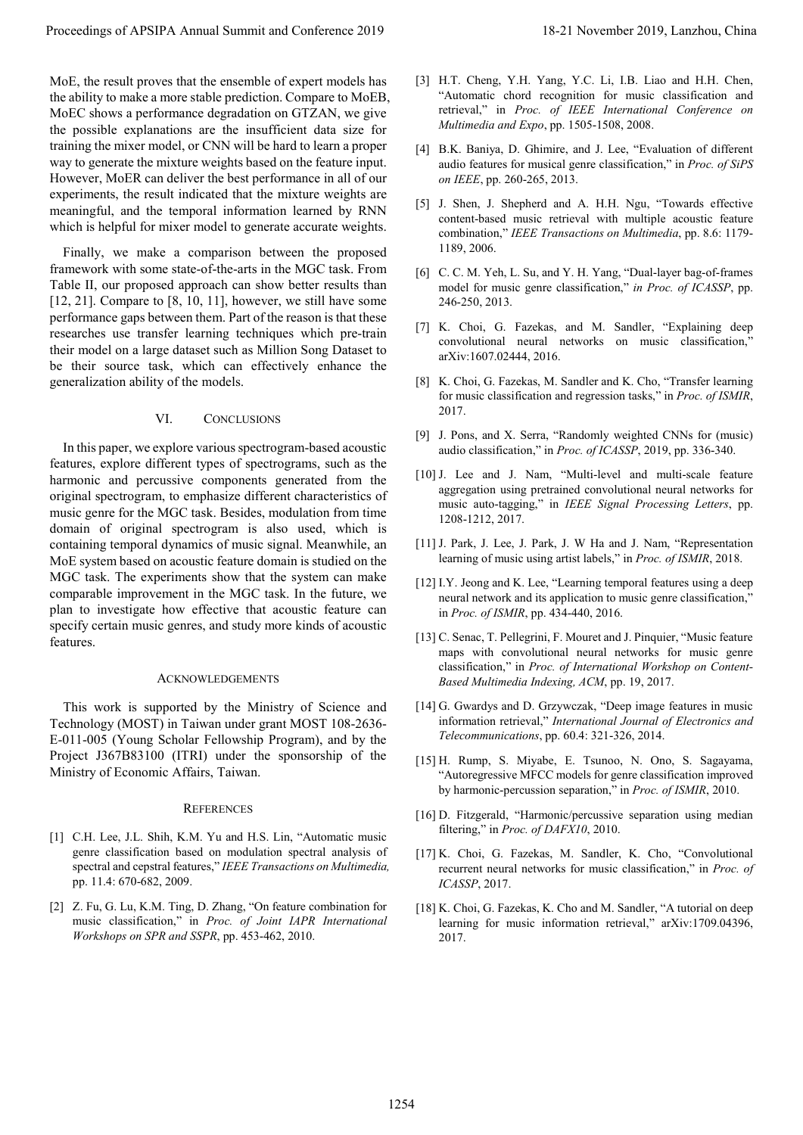MoE, the result proves that the ensemble of expert models has the ability to make a more stable prediction. Compare to MoEB, MoEC shows a performance degradation on GTZAN, we give the possible explanations are the insufficient data size for training the mixer model, or CNN will be hard to learn a proper way to generate the mixture weights based on the feature input. However, MoER can deliver the best performance in all of our experiments, the result indicated that the mixture weights are meaningful, and the temporal information learned by RNN which is helpful for mixer model to generate accurate weights.

Finally, we make a comparison between the proposed framework with some state-of-the-arts in the MGC task. From Table II, our proposed approach can show better results than [12, 21]. Compare to [8, 10, 11], however, we still have some performance gaps between them. Part of the reason is that these researches use transfer learning techniques which pre-train their model on a large dataset such as Million Song Dataset to be their source task, which can effectively enhance the generalization ability of the models.

# VI. CONCLUSIONS

In this paper, we explore various spectrogram-based acoustic features, explore different types of spectrograms, such as the harmonic and percussive components generated from the original spectrogram, to emphasize different characteristics of music genre for the MGC task. Besides, modulation from time domain of original spectrogram is also used, which is containing temporal dynamics of music signal. Meanwhile, an MoE system based on acoustic feature domain is studied on the MGC task. The experiments show that the system can make comparable improvement in the MGC task. In the future, we plan to investigate how effective that acoustic feature can specify certain music genres, and study more kinds of acoustic features. Proceedings of APSIPA Annual Summit and Conference 2019<br>
Model and Conference 2019 11 November 2019 12 November 2019 12 November 2019 12 November 2019 12 November 2019 12 November 2019 12 November 2019 12 November 2019 12

#### ACKNOWLEDGEMENTS

This work is supported by the Ministry of Science and Technology (MOST) in Taiwan under grant MOST 108-2636- E-011-005 (Young Scholar Fellowship Program), and by the Project J367B83100 (ITRI) under the sponsorship of the Ministry of Economic Affairs, Taiwan.

#### **REFERENCES**

- [1] C.H. Lee, J.L. Shih, K.M. Yu and H.S. Lin, "Automatic music genre classification based on modulation spectral analysis of spectral and cepstral features," *IEEE Transactions on Multimedia,*  pp. 11.4: 670-682, 2009.
- [2] Z. Fu, G. Lu, K.M. Ting, D. Zhang, "On feature combination for music classification," in *Proc. of Joint IAPR International Workshops on SPR and SSPR*, pp. 453-462, 2010.
- [3] H.T. Cheng, Y.H. Yang, Y.C. Li, I.B. Liao and H.H. Chen, "Automatic chord recognition for music classification and retrieval," in *Proc. of IEEE International Conference on Multimedia and Expo*, pp. 1505-1508, 2008.
- [4] B.K. Baniya, D. Ghimire, and J. Lee, "Evaluation of different audio features for musical genre classification," in *Proc. of SiPS on IEEE*, pp. 260-265, 2013.
- [5] J. Shen, J. Shepherd and A. H.H. Ngu, "Towards effective content-based music retrieval with multiple acoustic feature combination," *IEEE Transactions on Multimedia*, pp. 8.6: 1179- 1189, 2006.
- [6] C. C. M. Yeh, L. Su, and Y. H. Yang, "Dual-layer bag-of-frames model for music genre classification," *in Proc. of ICASSP*, pp. 246-250, 2013.
- [7] K. Choi, G. Fazekas, and M. Sandler, "Explaining deep convolutional neural networks on music classification," arXiv:1607.02444, 2016.
- [8] K. Choi, G. Fazekas, M. Sandler and K. Cho, "Transfer learning for music classification and regression tasks," in *Proc. of ISMIR*, 2017.
- [9] J. Pons, and X. Serra, "Randomly weighted CNNs for (music) audio classification," in *Proc. of ICASSP*, 2019, pp. 336-340.
- [10] J. Lee and J. Nam, "Multi-level and multi-scale feature aggregation using pretrained convolutional neural networks for music auto-tagging," in *IEEE Signal Processing Letters*, pp. 1208-1212, 2017.
- [11] J. Park, J. Lee, J. Park, J. W Ha and J. Nam, "Representation learning of music using artist labels," in *Proc. of ISMIR*, 2018.
- [12] I.Y. Jeong and K. Lee, "Learning temporal features using a deep neural network and its application to music genre classification," in *Proc. of ISMIR*, pp. 434-440, 2016.
- [13] C. Senac, T. Pellegrini, F. Mouret and J. Pinquier, "Music feature maps with convolutional neural networks for music genre classification," in *Proc. of International Workshop on Content-Based Multimedia Indexing, ACM*, pp. 19, 2017.
- [14] G. Gwardys and D. Grzywczak, "Deep image features in music information retrieval," *International Journal of Electronics and Telecommunications*, pp. 60.4: 321-326, 2014.
- [15] H. Rump, S. Miyabe, E. Tsunoo, N. Ono, S. Sagayama, "Autoregressive MFCC models for genre classification improved by harmonic-percussion separation," in *Proc. of ISMIR*, 2010.
- [16] D. Fitzgerald, "Harmonic/percussive separation using median filtering," in *Proc. of DAFX10*, 2010.
- [17] K. Choi, G. Fazekas, M. Sandler, K. Cho, "Convolutional recurrent neural networks for music classification," in *Proc. of ICASSP*, 2017.
- [18] K. Choi, G. Fazekas, K. Cho and M. Sandler, "A tutorial on deep learning for music information retrieval," arXiv:1709.04396, 2017.